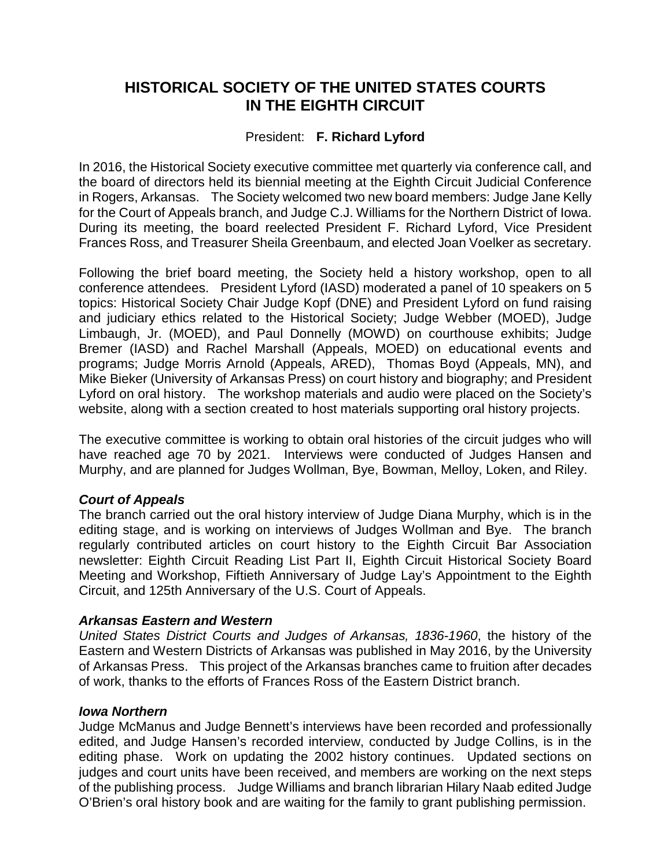# **HISTORICAL SOCIETY OF THE UNITED STATES COURTS IN THE EIGHTH CIRCUIT**

# President: **F. Richard Lyford**

In 2016, the Historical Society executive committee met quarterly via conference call, and the board of directors held its biennial meeting at the Eighth Circuit Judicial Conference in Rogers, Arkansas. The Society welcomed two new board members: Judge Jane Kelly for the Court of Appeals branch, and Judge C.J. Williams for the Northern District of Iowa. During its meeting, the board reelected President F. Richard Lyford, Vice President Frances Ross, and Treasurer Sheila Greenbaum, and elected Joan Voelker as secretary.

Following the brief board meeting, the Society held a history workshop, open to all conference attendees. President Lyford (IASD) moderated a panel of 10 speakers on 5 topics: Historical Society Chair Judge Kopf (DNE) and President Lyford on fund raising and judiciary ethics related to the Historical Society; Judge Webber (MOED), Judge Limbaugh, Jr. (MOED), and Paul Donnelly (MOWD) on courthouse exhibits; Judge Bremer (IASD) and Rachel Marshall (Appeals, MOED) on educational events and programs; Judge Morris Arnold (Appeals, ARED), Thomas Boyd (Appeals, MN), and Mike Bieker (University of Arkansas Press) on court history and biography; and President Lyford on oral history. The workshop materials and audio were placed on the Society's website, along with a section created to host materials supporting oral history projects.

The executive committee is working to obtain oral histories of the circuit judges who will have reached age 70 by 2021. Interviews were conducted of Judges Hansen and Murphy, and are planned for Judges Wollman, Bye, Bowman, Melloy, Loken, and Riley.

# *Court of Appeals*

The branch carried out the oral history interview of Judge Diana Murphy, which is in the editing stage, and is working on interviews of Judges Wollman and Bye. The branch regularly contributed articles on court history to the Eighth Circuit Bar Association newsletter: Eighth Circuit Reading List Part II, Eighth Circuit Historical Society Board Meeting and Workshop, Fiftieth Anniversary of Judge Lay's Appointment to the Eighth Circuit, and 125th Anniversary of the U.S. Court of Appeals.

# *Arkansas Eastern and Western*

*United States District Courts and Judges of Arkansas, 1836-1960*, the history of the Eastern and Western Districts of Arkansas was published in May 2016, by the University of Arkansas Press. This project of the Arkansas branches came to fruition after decades of work, thanks to the efforts of Frances Ross of the Eastern District branch.

# *Iowa Northern*

Judge McManus and Judge Bennett's interviews have been recorded and professionally edited, and Judge Hansen's recorded interview, conducted by Judge Collins, is in the editing phase. Work on updating the 2002 history continues. Updated sections on judges and court units have been received, and members are working on the next steps of the publishing process. Judge Williams and branch librarian Hilary Naab edited Judge O'Brien's oral history book and are waiting for the family to grant publishing permission.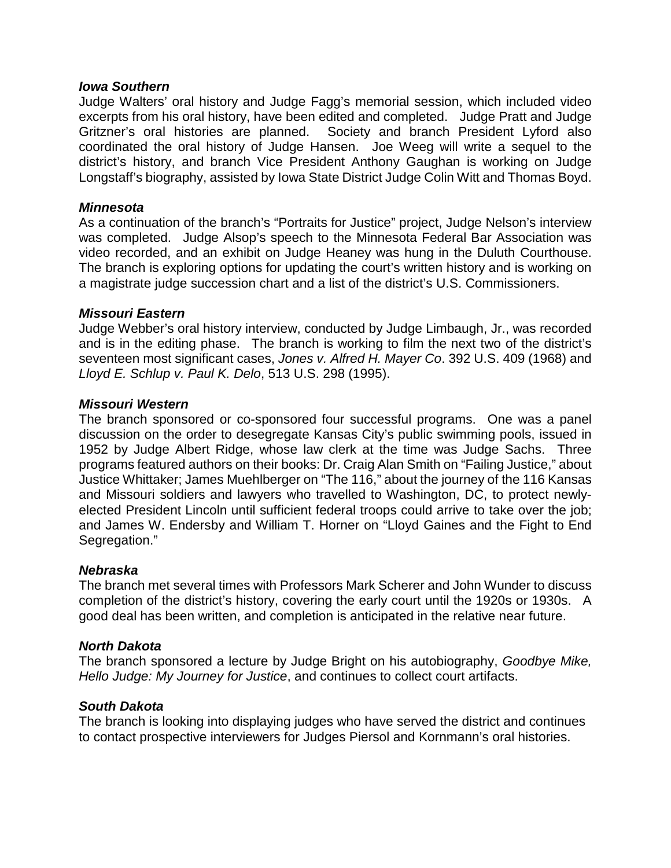### *Iowa Southern*

Judge Walters' oral history and Judge Fagg's memorial session, which included video excerpts from his oral history, have been edited and completed. Judge Pratt and Judge Gritzner's oral histories are planned. Society and branch President Lyford also coordinated the oral history of Judge Hansen. Joe Weeg will write a sequel to the district's history, and branch Vice President Anthony Gaughan is working on Judge Longstaff's biography, assisted by Iowa State District Judge Colin Witt and Thomas Boyd.

### *Minnesota*

As a continuation of the branch's "Portraits for Justice" project, Judge Nelson's interview was completed. Judge Alsop's speech to the Minnesota Federal Bar Association was video recorded, and an exhibit on Judge Heaney was hung in the Duluth Courthouse. The branch is exploring options for updating the court's written history and is working on a magistrate judge succession chart and a list of the district's U.S. Commissioners.

### *Missouri Eastern*

Judge Webber's oral history interview, conducted by Judge Limbaugh, Jr., was recorded and is in the editing phase. The branch is working to film the next two of the district's seventeen most significant cases, *Jones v. Alfred H. Mayer Co*. 392 U.S. 409 (1968) and *Lloyd E. Schlup v. Paul K. Delo*, 513 U.S. 298 (1995).

### *Missouri Western*

The branch sponsored or co-sponsored four successful programs. One was a panel discussion on the order to desegregate Kansas City's public swimming pools, issued in 1952 by Judge Albert Ridge, whose law clerk at the time was Judge Sachs. Three programs featured authors on their books: Dr. Craig Alan Smith on "Failing Justice," about Justice Whittaker; James Muehlberger on "The 116," about the journey of the 116 Kansas and Missouri soldiers and lawyers who travelled to Washington, DC, to protect newlyelected President Lincoln until sufficient federal troops could arrive to take over the job; and James W. Endersby and William T. Horner on "Lloyd Gaines and the Fight to End Segregation."

# *Nebraska*

The branch met several times with Professors Mark Scherer and John Wunder to discuss completion of the district's history, covering the early court until the 1920s or 1930s. A good deal has been written, and completion is anticipated in the relative near future.

# *North Dakota*

The branch sponsored a lecture by Judge Bright on his autobiography, *Goodbye Mike, Hello Judge: My Journey for Justice*, and continues to collect court artifacts.

### *South Dakota*

The branch is looking into displaying judges who have served the district and continues to contact prospective interviewers for Judges Piersol and Kornmann's oral histories.